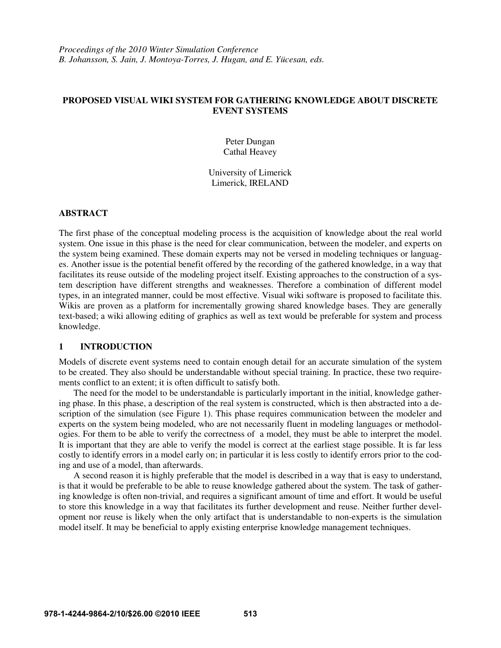# **PROPOSED VISUAL WIKI SYSTEM FOR GATHERING KNOWLEDGE ABOUT DISCRETE EVENT SYSTEMS**

Peter Dungan Cathal Heavey

University of Limerick Limerick, IRELAND

#### **ABSTRACT**

The first phase of the conceptual modeling process is the acquisition of knowledge about the real world system. One issue in this phase is the need for clear communication, between the modeler, and experts on the system being examined. These domain experts may not be versed in modeling techniques or languages. Another issue is the potential benefit offered by the recording of the gathered knowledge, in a way that facilitates its reuse outside of the modeling project itself. Existing approaches to the construction of a system description have different strengths and weaknesses. Therefore a combination of different model types, in an integrated manner, could be most effective. Visual wiki software is proposed to facilitate this. Wikis are proven as a platform for incrementally growing shared knowledge bases. They are generally text-based; a wiki allowing editing of graphics as well as text would be preferable for system and process knowledge.

### **1 INTRODUCTION**

Models of discrete event systems need to contain enough detail for an accurate simulation of the system to be created. They also should be understandable without special training. In practice, these two requirements conflict to an extent; it is often difficult to satisfy both.

The need for the model to be understandable is particularly important in the initial, knowledge gathering phase. In this phase, a description of the real system is constructed, which is then abstracted into a description of the simulation (see Figure 1). This phase requires communication between the modeler and experts on the system being modeled, who are not necessarily fluent in modeling languages or methodologies. For them to be able to verify the correctness of a model, they must be able to interpret the model. It is important that they are able to verify the model is correct at the earliest stage possible. It is far less costly to identify errors in a model early on; in particular it is less costly to identify errors prior to the coding and use of a model, than afterwards.

A second reason it is highly preferable that the model is described in a way that is easy to understand, is that it would be preferable to be able to reuse knowledge gathered about the system. The task of gathering knowledge is often non-trivial, and requires a significant amount of time and effort. It would be useful to store this knowledge in a way that facilitates its further development and reuse. Neither further development nor reuse is likely when the only artifact that is understandable to non-experts is the simulation model itself. It may be beneficial to apply existing enterprise knowledge management techniques.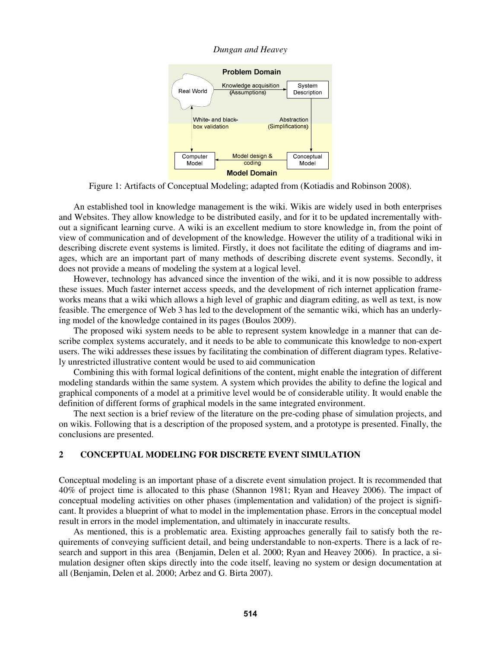

Figure 1: Artifacts of Conceptual Modeling; adapted from (Kotiadis and Robinson 2008).

An established tool in knowledge management is the wiki. Wikis are widely used in both enterprises and Websites. They allow knowledge to be distributed easily, and for it to be updated incrementally without a significant learning curve. A wiki is an excellent medium to store knowledge in, from the point of view of communication and of development of the knowledge. However the utility of a traditional wiki in describing discrete event systems is limited. Firstly, it does not facilitate the editing of diagrams and images, which are an important part of many methods of describing discrete event systems. Secondly, it does not provide a means of modeling the system at a logical level.

However, technology has advanced since the invention of the wiki, and it is now possible to address these issues. Much faster internet access speeds, and the development of rich internet application frameworks means that a wiki which allows a high level of graphic and diagram editing, as well as text, is now feasible. The emergence of Web 3 has led to the development of the semantic wiki, which has an underlying model of the knowledge contained in its pages (Boulos 2009).

The proposed wiki system needs to be able to represent system knowledge in a manner that can describe complex systems accurately, and it needs to be able to communicate this knowledge to non-expert users. The wiki addresses these issues by facilitating the combination of different diagram types. Relatively unrestricted illustrative content would be used to aid communication

Combining this with formal logical definitions of the content, might enable the integration of different modeling standards within the same system. A system which provides the ability to define the logical and graphical components of a model at a primitive level would be of considerable utility. It would enable the definition of different forms of graphical models in the same integrated environment.

The next section is a brief review of the literature on the pre-coding phase of simulation projects, and on wikis. Following that is a description of the proposed system, and a prototype is presented. Finally, the conclusions are presented.

### **2 CONCEPTUAL MODELING FOR DISCRETE EVENT SIMULATION**

Conceptual modeling is an important phase of a discrete event simulation project. It is recommended that 40% of project time is allocated to this phase (Shannon 1981; Ryan and Heavey 2006). The impact of conceptual modeling activities on other phases (implementation and validation) of the project is significant. It provides a blueprint of what to model in the implementation phase. Errors in the conceptual model result in errors in the model implementation, and ultimately in inaccurate results.

As mentioned, this is a problematic area. Existing approaches generally fail to satisfy both the requirements of conveying sufficient detail, and being understandable to non-experts. There is a lack of research and support in this area (Benjamin, Delen et al. 2000; Ryan and Heavey 2006). In practice, a simulation designer often skips directly into the code itself, leaving no system or design documentation at all (Benjamin, Delen et al. 2000; Arbez and G. Birta 2007).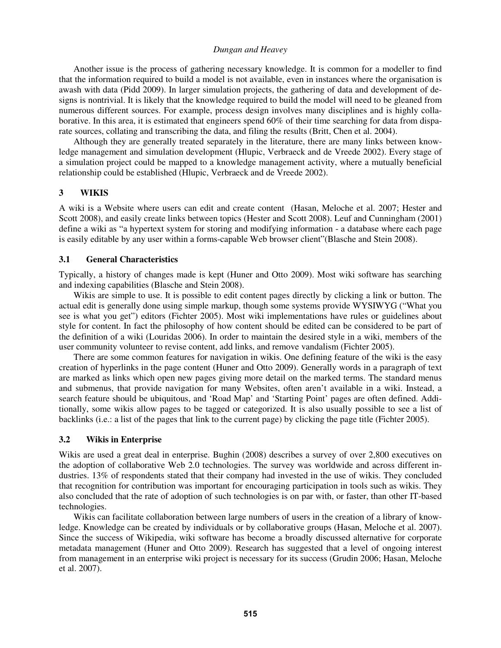Another issue is the process of gathering necessary knowledge. It is common for a modeller to find that the information required to build a model is not available, even in instances where the organisation is awash with data (Pidd 2009). In larger simulation projects, the gathering of data and development of designs is nontrivial. It is likely that the knowledge required to build the model will need to be gleaned from numerous different sources. For example, process design involves many disciplines and is highly collaborative. In this area, it is estimated that engineers spend 60% of their time searching for data from disparate sources, collating and transcribing the data, and filing the results (Britt, Chen et al. 2004).

Although they are generally treated separately in the literature, there are many links between knowledge management and simulation development (Hlupic, Verbraeck and de Vreede 2002). Every stage of a simulation project could be mapped to a knowledge management activity, where a mutually beneficial relationship could be established (Hlupic, Verbraeck and de Vreede 2002).

#### **3 WIKIS**

A wiki is a Website where users can edit and create content (Hasan, Meloche et al. 2007; Hester and Scott 2008), and easily create links between topics (Hester and Scott 2008). Leuf and Cunningham (2001) define a wiki as "a hypertext system for storing and modifying information - a database where each page is easily editable by any user within a forms-capable Web browser client"(Blasche and Stein 2008).

#### **3.1 General Characteristics**

Typically, a history of changes made is kept (Huner and Otto 2009). Most wiki software has searching and indexing capabilities (Blasche and Stein 2008).

Wikis are simple to use. It is possible to edit content pages directly by clicking a link or button. The actual edit is generally done using simple markup, though some systems provide WYSIWYG ("What you see is what you get") editors (Fichter 2005). Most wiki implementations have rules or guidelines about style for content. In fact the philosophy of how content should be edited can be considered to be part of the definition of a wiki (Louridas 2006). In order to maintain the desired style in a wiki, members of the user community volunteer to revise content, add links, and remove vandalism (Fichter 2005).

There are some common features for navigation in wikis. One defining feature of the wiki is the easy creation of hyperlinks in the page content (Huner and Otto 2009). Generally words in a paragraph of text are marked as links which open new pages giving more detail on the marked terms. The standard menus and submenus, that provide navigation for many Websites, often aren't available in a wiki. Instead, a search feature should be ubiquitous, and 'Road Map' and 'Starting Point' pages are often defined. Additionally, some wikis allow pages to be tagged or categorized. It is also usually possible to see a list of backlinks (i.e.: a list of the pages that link to the current page) by clicking the page title (Fichter 2005).

## **3.2 Wikis in Enterprise**

Wikis are used a great deal in enterprise. Bughin (2008) describes a survey of over 2,800 executives on the adoption of collaborative Web 2.0 technologies. The survey was worldwide and across different industries. 13% of respondents stated that their company had invested in the use of wikis. They concluded that recognition for contribution was important for encouraging participation in tools such as wikis. They also concluded that the rate of adoption of such technologies is on par with, or faster, than other IT-based technologies.

Wikis can facilitate collaboration between large numbers of users in the creation of a library of knowledge. Knowledge can be created by individuals or by collaborative groups (Hasan, Meloche et al. 2007). Since the success of Wikipedia, wiki software has become a broadly discussed alternative for corporate metadata management (Huner and Otto 2009). Research has suggested that a level of ongoing interest from management in an enterprise wiki project is necessary for its success (Grudin 2006; Hasan, Meloche et al. 2007).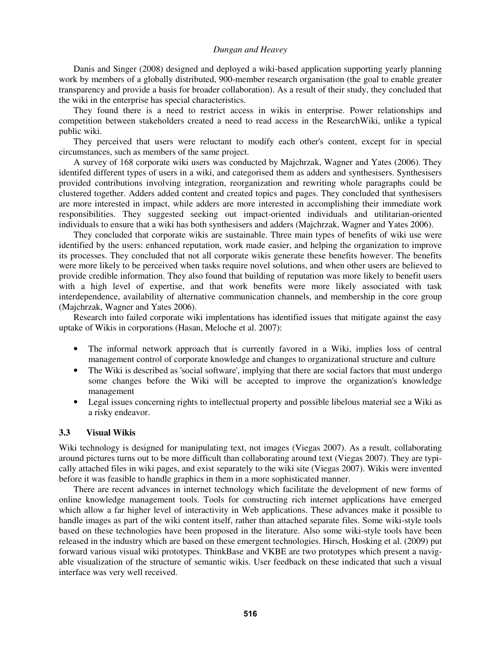Danis and Singer (2008) designed and deployed a wiki-based application supporting yearly planning work by members of a globally distributed, 900-member research organisation (the goal to enable greater transparency and provide a basis for broader collaboration). As a result of their study, they concluded that the wiki in the enterprise has special characteristics.

They found there is a need to restrict access in wikis in enterprise. Power relationships and competition between stakeholders created a need to read access in the ResearchWiki, unlike a typical public wiki.

They perceived that users were reluctant to modify each other's content, except for in special circumstances, such as members of the same project.

A survey of 168 corporate wiki users was conducted by Majchrzak, Wagner and Yates (2006). They identifed different types of users in a wiki, and categorised them as adders and synthesisers. Synthesisers provided contributions involving integration, reorganization and rewriting whole paragraphs could be clustered together. Adders added content and created topics and pages. They concluded that synthesisers are more interested in impact, while adders are more interested in accomplishing their immediate work responsibilities. They suggested seeking out impact-oriented individuals and utilitarian-oriented individuals to ensure that a wiki has both synthesisers and adders (Majchrzak, Wagner and Yates 2006).

They concluded that corporate wikis are sustainable. Three main types of benefits of wiki use were identified by the users: enhanced reputation, work made easier, and helping the organization to improve its processes. They concluded that not all corporate wikis generate these benefits however. The benefits were more likely to be perceived when tasks require novel solutions, and when other users are believed to provide credible information. They also found that building of reputation was more likely to benefit users with a high level of expertise, and that work benefits were more likely associated with task interdependence, availability of alternative communication channels, and membership in the core group (Majchrzak, Wagner and Yates 2006).

Research into failed corporate wiki implentations has identified issues that mitigate against the easy uptake of Wikis in corporations (Hasan, Meloche et al. 2007):

- The informal network approach that is currently favored in a Wiki, implies loss of central management control of corporate knowledge and changes to organizational structure and culture
- The Wiki is described as 'social software', implying that there are social factors that must undergo some changes before the Wiki will be accepted to improve the organization's knowledge management
- Legal issues concerning rights to intellectual property and possible libelous material see a Wiki as a risky endeavor.

#### **3.3 Visual Wikis**

Wiki technology is designed for manipulating text, not images (Viegas 2007). As a result, collaborating around pictures turns out to be more difficult than collaborating around text (Viegas 2007). They are typically attached files in wiki pages, and exist separately to the wiki site (Viegas 2007). Wikis were invented before it was feasible to handle graphics in them in a more sophisticated manner.

There are recent advances in internet technology which facilitate the development of new forms of online knowledge management tools. Tools for constructing rich internet applications have emerged which allow a far higher level of interactivity in Web applications. These advances make it possible to handle images as part of the wiki content itself, rather than attached separate files. Some wiki-style tools based on these technologies have been proposed in the literature. Also some wiki-style tools have been released in the industry which are based on these emergent technologies. Hirsch, Hosking et al. (2009) put forward various visual wiki prototypes. ThinkBase and VKBE are two prototypes which present a navigable visualization of the structure of semantic wikis. User feedback on these indicated that such a visual interface was very well received.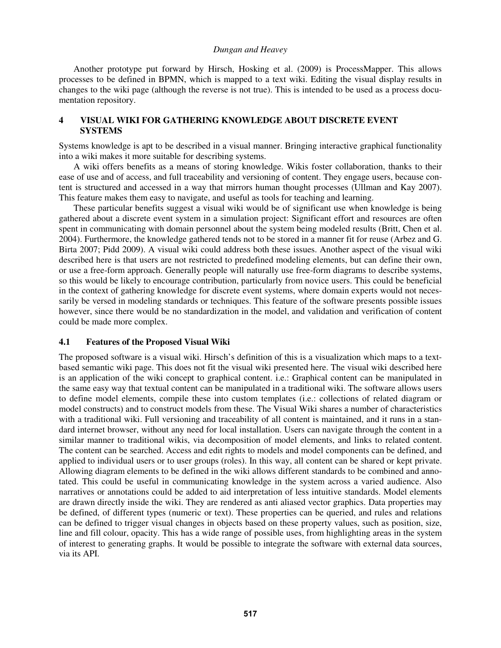Another prototype put forward by Hirsch, Hosking et al. (2009) is ProcessMapper. This allows processes to be defined in BPMN, which is mapped to a text wiki. Editing the visual display results in changes to the wiki page (although the reverse is not true). This is intended to be used as a process documentation repository.

# **4 VISUAL WIKI FOR GATHERING KNOWLEDGE ABOUT DISCRETE EVENT SYSTEMS**

Systems knowledge is apt to be described in a visual manner. Bringing interactive graphical functionality into a wiki makes it more suitable for describing systems.

A wiki offers benefits as a means of storing knowledge. Wikis foster collaboration, thanks to their ease of use and of access, and full traceability and versioning of content. They engage users, because content is structured and accessed in a way that mirrors human thought processes (Ullman and Kay 2007). This feature makes them easy to navigate, and useful as tools for teaching and learning.

These particular benefits suggest a visual wiki would be of significant use when knowledge is being gathered about a discrete event system in a simulation project: Significant effort and resources are often spent in communicating with domain personnel about the system being modeled results (Britt, Chen et al. 2004). Furthermore, the knowledge gathered tends not to be stored in a manner fit for reuse (Arbez and G. Birta 2007; Pidd 2009). A visual wiki could address both these issues. Another aspect of the visual wiki described here is that users are not restricted to predefined modeling elements, but can define their own, or use a free-form approach. Generally people will naturally use free-form diagrams to describe systems, so this would be likely to encourage contribution, particularly from novice users. This could be beneficial in the context of gathering knowledge for discrete event systems, where domain experts would not necessarily be versed in modeling standards or techniques. This feature of the software presents possible issues however, since there would be no standardization in the model, and validation and verification of content could be made more complex.

#### **4.1 Features of the Proposed Visual Wiki**

The proposed software is a visual wiki. Hirsch's definition of this is a visualization which maps to a textbased semantic wiki page. This does not fit the visual wiki presented here. The visual wiki described here is an application of the wiki concept to graphical content. i.e.: Graphical content can be manipulated in the same easy way that textual content can be manipulated in a traditional wiki. The software allows users to define model elements, compile these into custom templates (i.e.: collections of related diagram or model constructs) and to construct models from these. The Visual Wiki shares a number of characteristics with a traditional wiki. Full versioning and traceability of all content is maintained, and it runs in a standard internet browser, without any need for local installation. Users can navigate through the content in a similar manner to traditional wikis, via decomposition of model elements, and links to related content. The content can be searched. Access and edit rights to models and model components can be defined, and applied to individual users or to user groups (roles). In this way, all content can be shared or kept private. Allowing diagram elements to be defined in the wiki allows different standards to be combined and annotated. This could be useful in communicating knowledge in the system across a varied audience. Also narratives or annotations could be added to aid interpretation of less intuitive standards. Model elements are drawn directly inside the wiki. They are rendered as anti aliased vector graphics. Data properties may be defined, of different types (numeric or text). These properties can be queried, and rules and relations can be defined to trigger visual changes in objects based on these property values, such as position, size, line and fill colour, opacity. This has a wide range of possible uses, from highlighting areas in the system of interest to generating graphs. It would be possible to integrate the software with external data sources, via its API.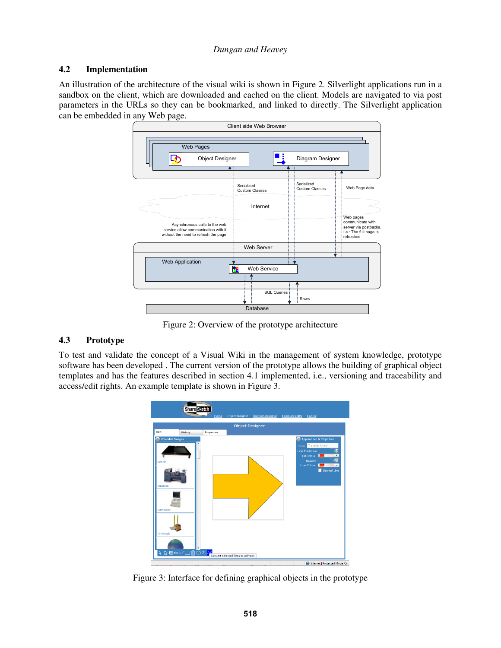# **4.2 Implementation**

An illustration of the architecture of the visual wiki is shown in Figure 2. Silverlight applications run in a sandbox on the client, which are downloaded and cached on the client. Models are navigated to via post parameters in the URLs so they can be bookmarked, and linked to directly. The Silverlight application can be embedded in any Web page.



Figure 2: Overview of the prototype architecture

# **4.3 Prototype**

To test and validate the concept of a Visual Wiki in the management of system knowledge, prototype software has been developed . The current version of the prototype allows the building of graphical object templates and has the features described in section 4.1 implemented, i.e., versioning and traceability and access/edit rights. An example template is shown in Figure 3.



Figure 3: Interface for defining graphical objects in the prototype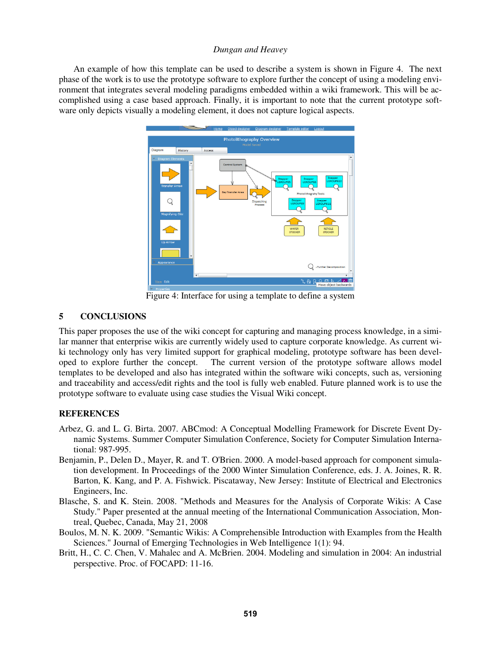An example of how this template can be used to describe a system is shown in Figure 4. The next phase of the work is to use the prototype software to explore further the concept of using a modeling environment that integrates several modeling paradigms embedded within a wiki framework. This will be accomplished using a case based approach. Finally, it is important to note that the current prototype software only depicts visually a modeling element, it does not capture logical aspects.



Figure 4: Interface for using a template to define a system

# **5 CONCLUSIONS**

This paper proposes the use of the wiki concept for capturing and managing process knowledge, in a similar manner that enterprise wikis are currently widely used to capture corporate knowledge. As current wiki technology only has very limited support for graphical modeling, prototype software has been developed to explore further the concept. The current version of the prototype software allows model templates to be developed and also has integrated within the software wiki concepts, such as, versioning and traceability and access/edit rights and the tool is fully web enabled. Future planned work is to use the prototype software to evaluate using case studies the Visual Wiki concept.

## **REFERENCES**

- Arbez, G. and L. G. Birta. 2007. ABCmod: A Conceptual Modelling Framework for Discrete Event Dynamic Systems. Summer Computer Simulation Conference, Society for Computer Simulation International: 987-995.
- Benjamin, P., Delen D., Mayer, R. and T. O'Brien. 2000. A model-based approach for component simulation development. In Proceedings of the 2000 Winter Simulation Conference, eds. J. A. Joines, R. R. Barton, K. Kang, and P. A. Fishwick. Piscataway, New Jersey: Institute of Electrical and Electronics Engineers, Inc.
- Blasche, S. and K. Stein. 2008. "Methods and Measures for the Analysis of Corporate Wikis: A Case Study." Paper presented at the annual meeting of the International Communication Association, Montreal, Quebec, Canada, May 21, 2008
- Boulos, M. N. K. 2009. "Semantic Wikis: A Comprehensible Introduction with Examples from the Health Sciences." Journal of Emerging Technologies in Web Intelligence 1(1): 94.
- Britt, H., C. C. Chen, V. Mahalec and A. McBrien. 2004. Modeling and simulation in 2004: An industrial perspective. Proc. of FOCAPD: 11-16.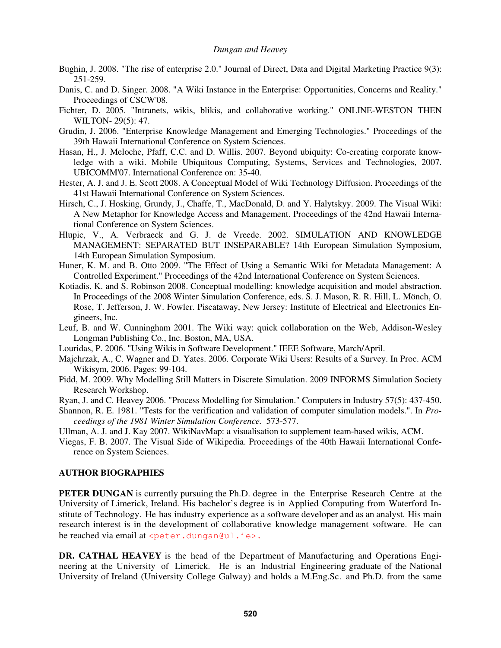- Bughin, J. 2008. "The rise of enterprise 2.0." Journal of Direct, Data and Digital Marketing Practice 9(3): 251-259.
- Danis, C. and D. Singer. 2008. "A Wiki Instance in the Enterprise: Opportunities, Concerns and Reality." Proceedings of CSCW'08.
- Fichter, D. 2005. "Intranets, wikis, blikis, and collaborative working." ONLINE-WESTON THEN WILTON- 29(5): 47.
- Grudin, J. 2006. "Enterprise Knowledge Management and Emerging Technologies." Proceedings of the 39th Hawaii International Conference on System Sciences.
- Hasan, H., J. Meloche, Pfaff, C.C. and D. Willis. 2007. Beyond ubiquity: Co-creating corporate knowledge with a wiki. Mobile Ubiquitous Computing, Systems, Services and Technologies, 2007. UBICOMM'07. International Conference on: 35-40.
- Hester, A. J. and J. E. Scott 2008. A Conceptual Model of Wiki Technology Diffusion. Proceedings of the 41st Hawaii International Conference on System Sciences.
- Hirsch, C., J. Hosking, Grundy, J., Chaffe, T., MacDonald, D. and Y. Halytskyy. 2009. The Visual Wiki: A New Metaphor for Knowledge Access and Management. Proceedings of the 42nd Hawaii International Conference on System Sciences.
- Hlupic, V., A. Verbraeck and G. J. de Vreede. 2002. SIMULATION AND KNOWLEDGE MANAGEMENT: SEPARATED BUT INSEPARABLE? 14th European Simulation Symposium, 14th European Simulation Symposium.
- Huner, K. M. and B. Otto 2009. "The Effect of Using a Semantic Wiki for Metadata Management: A Controlled Experiment." Proceedings of the 42nd International Conference on System Sciences.
- Kotiadis, K. and S. Robinson 2008. Conceptual modelling: knowledge acquisition and model abstraction. In Proceedings of the 2008 Winter Simulation Conference, eds. S. J. Mason, R. R. Hill, L. Mönch, O. Rose, T. Jefferson, J. W. Fowler. Piscataway, New Jersey: Institute of Electrical and Electronics Engineers, Inc.
- Leuf, B. and W. Cunningham 2001. The Wiki way: quick collaboration on the Web, Addison-Wesley Longman Publishing Co., Inc. Boston, MA, USA.
- Louridas, P. 2006. "Using Wikis in Software Development." IEEE Software, March/April.
- Majchrzak, A., C. Wagner and D. Yates. 2006. Corporate Wiki Users: Results of a Survey. In Proc. ACM Wikisym, 2006. Pages: 99-104.
- Pidd, M. 2009. Why Modelling Still Matters in Discrete Simulation. 2009 INFORMS Simulation Society Research Workshop.

Ryan, J. and C. Heavey 2006. "Process Modelling for Simulation." Computers in Industry 57(5): 437-450.

- Shannon, R. E. 1981. "Tests for the verification and validation of computer simulation models.". In *Proceedings of the 1981 Winter Simulation Conference.* 573-577.
- Ullman, A. J. and J. Kay 2007. WikiNavMap: a visualisation to supplement team-based wikis, ACM.
- Viegas, F. B. 2007. The Visual Side of Wikipedia. Proceedings of the 40th Hawaii International Conference on System Sciences.

# **AUTHOR BIOGRAPHIES**

**PETER DUNGAN** is currently pursuing the Ph.D. degree in the Enterprise Research Centre at the University of Limerick, Ireland. His bachelor's degree is in Applied Computing from Waterford Institute of Technology. He has industry experience as a software developer and as an analyst. His main research interest is in the development of collaborative knowledge management software. He can be reached via email at <peter.dungan@ul.ie>.

**DR. CATHAL HEAVEY** is the head of the Department of Manufacturing and Operations Engineering at the University of Limerick. He is an Industrial Engineering graduate of the National University of Ireland (University College Galway) and holds a M.Eng.Sc. and Ph.D. from the same